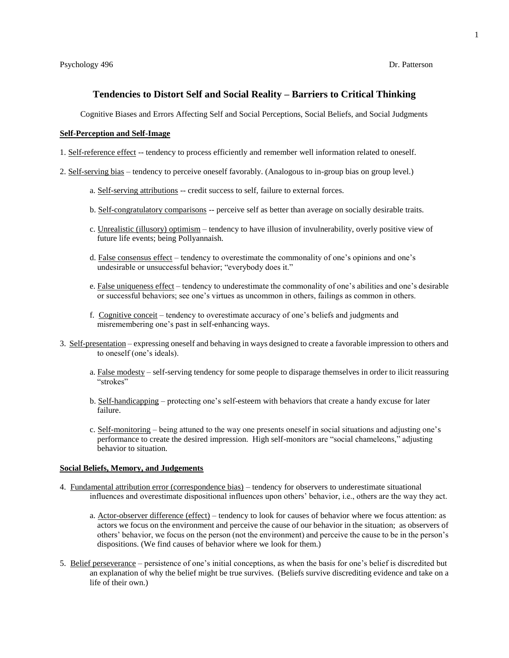### **Tendencies to Distort Self and Social Reality – Barriers to Critical Thinking**

Cognitive Biases and Errors Affecting Self and Social Perceptions, Social Beliefs, and Social Judgments

### **Self-Perception and Self-Image**

- 1. Self-reference effect -- tendency to process efficiently and remember well information related to oneself.
- 2. Self-serving bias tendency to perceive oneself favorably. (Analogous to in-group bias on group level.)
	- a. Self-serving attributions -- credit success to self, failure to external forces.
	- b. Self-congratulatory comparisons -- perceive self as better than average on socially desirable traits.
	- c. Unrealistic (illusory) optimism tendency to have illusion of invulnerability, overly positive view of future life events; being Pollyannaish.
	- d. False consensus effect tendency to overestimate the commonality of one's opinions and one's undesirable or unsuccessful behavior; "everybody does it."
	- e. False uniqueness effect tendency to underestimate the commonality of one's abilities and one's desirable or successful behaviors; see one's virtues as uncommon in others, failings as common in others.
	- f. Cognitive conceit tendency to overestimate accuracy of one's beliefs and judgments and misremembering one's past in self-enhancing ways.
- 3. Self-presentation expressing oneself and behaving in ways designed to create a favorable impression to others and to oneself (one's ideals).
	- a. False modesty self-serving tendency for some people to disparage themselves in order to ilicit reassuring "strokes"
	- b. Self-handicapping protecting one's self-esteem with behaviors that create a handy excuse for later failure.
	- c. Self-monitoring being attuned to the way one presents oneself in social situations and adjusting one's performance to create the desired impression. High self-monitors are "social chameleons," adjusting behavior to situation.

### **Social Beliefs, Memory, and Judgements**

- 4. Fundamental attribution error (correspondence bias) tendency for observers to underestimate situational influences and overestimate dispositional influences upon others' behavior, i.e., others are the way they act.
	- a. Actor-observer difference (effect) tendency to look for causes of behavior where we focus attention: as actors we focus on the environment and perceive the cause of our behavior in the situation; as observers of others' behavior, we focus on the person (not the environment) and perceive the cause to be in the person's dispositions. (We find causes of behavior where we look for them.)
- 5. Belief perseverance persistence of one's initial conceptions, as when the basis for one's belief is discredited but an explanation of why the belief might be true survives. (Beliefs survive discrediting evidence and take on a life of their own.)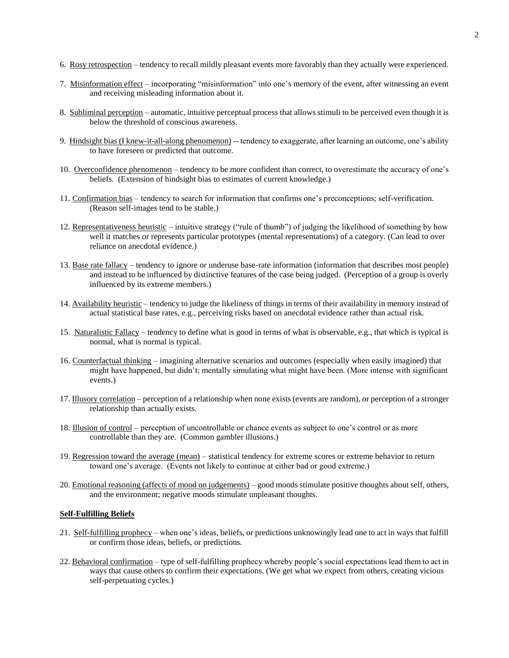- 6. Rosy retrospection tendency to recall mildly pleasant events more favorably than they actually were experienced.
- 7. Misinformation effect incorporating "misinformation" into one's memory of the event, after witnessing an event and receiving misleading information about it.
- 8. Subliminal perception automatic, intuitive perceptual process that allows stimuli to be perceived even though it is below the threshold of conscious awareness.
- 9. Hindsight bias (I knew-it-all-along phenomenon) -- tendency to exaggerate, after learning an outcome, one's ability to have foreseen or predicted that outcome.
- 10. Overconfidence phenomenon tendency to be more confident than correct, to overestimate the accuracy of one's beliefs. (Extension of hindsight bias to estimates of current knowledge.)
- 11. Confirmation bias tendency to search for information that confirms one's preconceptions; self-verification. (Reason self-images tend to be stable.)
- 12. Representativeness heuristic intuitive strategy ("rule of thumb") of judging the likelihood of something by how well it matches or represents particular prototypes (mental representations) of a category. (Can lead to over reliance on anecdotal evidence.)
- 13. Base rate fallacy tendency to ignore or underuse base-rate information (information that describes most people) and instead to be influenced by distinctive features of the case being judged. (Perception of a group is overly influenced by its extreme members.)
- 14. Availability heuristic tendency to judge the likeliness of things in terms of their availability in memory instead of actual statistical base rates, e.g., perceiving risks based on anecdotal evidence rather than actual risk.
- 15. Naturalistic Fallacy tendency to define what is good in terms of what is observable, e.g., that which is typical is normal, what is normal is typical.
- 16. Counterfactual thinking imagining alternative scenarios and outcomes (especially when easily imagined) that might have happened, but didn't; mentally simulating what might have been. (More intense with significant events.)
- 17. Illusory correlation perception of a relationship when none exists (events are random), or perception of a stronger relationship than actually exists.
- 18. Illusion of control perception of uncontrollable or chance events as subject to one's control or as more controllable than they are. (Common gambler illusions.)
- 19. Regression toward the average (mean) statistical tendency for extreme scores or extreme behavior to return toward one's average. (Events not likely to continue at either bad or good extreme.)
- 20. Emotional reasoning (affects of mood on judgements) good moods stimulate positive thoughts about self, others, and the environment; negative moods stimulate unpleasant thoughts.

# **Self-Fulfilling Beliefs**

- 21. Self-fulfilling prophecy when one's ideas, beliefs, or predictions unknowingly lead one to act in ways that fulfill or confirm those ideas, beliefs, or predictions.
- 22. Behavioral confirmation type of self-fulfilling prophecy whereby people's social expectations lead them to act in ways that cause others to confirm their expectations. (We get what we expect from others, creating vicious self-perpetuating cycles.)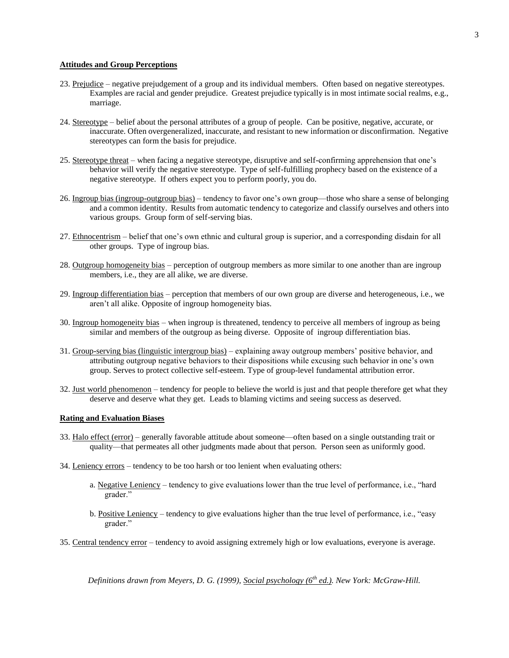## **Attitudes and Group Perceptions**

- 23. Prejudice negative prejudgement of a group and its individual members. Often based on negative stereotypes. Examples are racial and gender prejudice. Greatest prejudice typically is in most intimate social realms, e.g., marriage.
- 24. Stereotype belief about the personal attributes of a group of people. Can be positive, negative, accurate, or inaccurate. Often overgeneralized, inaccurate, and resistant to new information or disconfirmation. Negative stereotypes can form the basis for prejudice.
- 25. Stereotype threat when facing a negative stereotype, disruptive and self-confirming apprehension that one's behavior will verify the negative stereotype. Type of self-fulfilling prophecy based on the existence of a negative stereotype. If others expect you to perform poorly, you do.
- 26. Ingroup bias (ingroup-outgroup bias) tendency to favor one's own group—those who share a sense of belonging and a common identity. Results from automatic tendency to categorize and classify ourselves and others into various groups. Group form of self-serving bias.
- 27. Ethnocentrism belief that one's own ethnic and cultural group is superior, and a corresponding disdain for all other groups. Type of ingroup bias.
- 28. Outgroup homogeneity bias perception of outgroup members as more similar to one another than are ingroup members, i.e., they are all alike, we are diverse.
- 29. Ingroup differentiation bias perception that members of our own group are diverse and heterogeneous, i.e., we aren't all alike. Opposite of ingroup homogeneity bias.
- 30. Ingroup homogeneity bias when ingroup is threatened, tendency to perceive all members of ingroup as being similar and members of the outgroup as being diverse. Opposite of ingroup differentiation bias.
- 31. Group-serving bias (linguistic intergroup bias) explaining away outgroup members' positive behavior, and attributing outgroup negative behaviors to their dispositions while excusing such behavior in one's own group. Serves to protect collective self-esteem. Type of group-level fundamental attribution error.
- 32. Just world phenomenon tendency for people to believe the world is just and that people therefore get what they deserve and deserve what they get. Leads to blaming victims and seeing success as deserved.

### **Rating and Evaluation Biases**

- 33. Halo effect (error) generally favorable attitude about someone—often based on a single outstanding trait or quality—that permeates all other judgments made about that person. Person seen as uniformly good.
- 34. Leniency errors tendency to be too harsh or too lenient when evaluating others:
	- a. Negative Leniency tendency to give evaluations lower than the true level of performance, i.e., "hard grader."
	- b. Positive Leniency tendency to give evaluations higher than the true level of performance, i.e., "easy grader."
- 35. Central tendency error tendency to avoid assigning extremely high or low evaluations, everyone is average.

*Definitions drawn from Meyers, D. G. (1999), Social psychology (6th ed.). New York: McGraw-Hill.*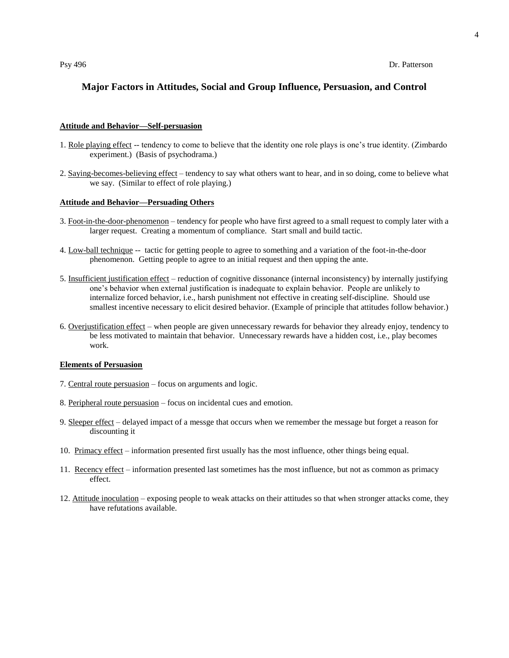# **Major Factors in Attitudes, Social and Group Influence, Persuasion, and Control**

### **Attitude and Behavior—Self-persuasion**

- 1. Role playing effect -- tendency to come to believe that the identity one role plays is one's true identity. (Zimbardo experiment.) (Basis of psychodrama.)
- 2. Saying-becomes-believing effect tendency to say what others want to hear, and in so doing, come to believe what we say. (Similar to effect of role playing.)

## **Attitude and Behavior—Persuading Others**

- 3. Foot-in-the-door-phenomenon tendency for people who have first agreed to a small request to comply later with a larger request. Creating a momentum of compliance. Start small and build tactic.
- 4. Low-ball technique -- tactic for getting people to agree to something and a variation of the foot-in-the-door phenomenon. Getting people to agree to an initial request and then upping the ante.
- 5. Insufficient justification effect reduction of cognitive dissonance (internal inconsistency) by internally justifying one's behavior when external justification is inadequate to explain behavior. People are unlikely to internalize forced behavior, i.e., harsh punishment not effective in creating self-discipline. Should use smallest incentive necessary to elicit desired behavior. (Example of principle that attitudes follow behavior.)
- 6. Overjustification effect when people are given unnecessary rewards for behavior they already enjoy, tendency to be less motivated to maintain that behavior. Unnecessary rewards have a hidden cost, i.e., play becomes work.

## **Elements of Persuasion**

- 7. Central route persuasion focus on arguments and logic.
- 8. Peripheral route persuasion focus on incidental cues and emotion.
- 9. Sleeper effect delayed impact of a messge that occurs when we remember the message but forget a reason for discounting it
- 10. Primacy effect information presented first usually has the most influence, other things being equal.
- 11. Recency effect information presented last sometimes has the most influence, but not as common as primacy effect.
- 12. Attitude inoculation exposing people to weak attacks on their attitudes so that when stronger attacks come, they have refutations available.